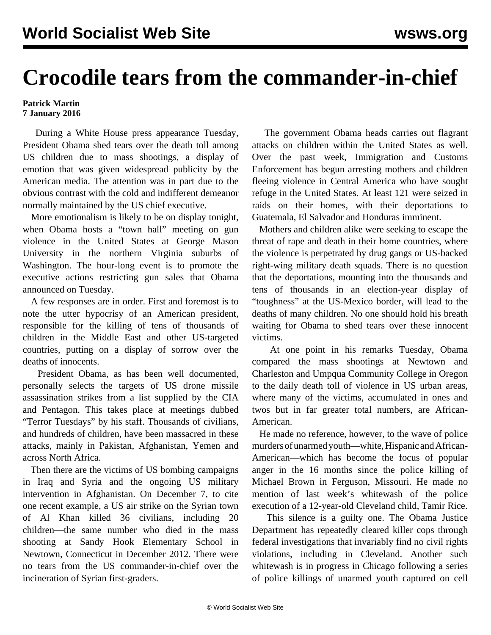## **Crocodile tears from the commander-in-chief**

## **Patrick Martin 7 January 2016**

 During a White House press appearance Tuesday, President Obama shed tears over the death toll among US children due to mass shootings, a display of emotion that was given widespread publicity by the American media. The attention was in part due to the obvious contrast with the cold and indifferent demeanor normally maintained by the US chief executive.

 More emotionalism is likely to be on display tonight, when Obama hosts a "town hall" meeting on gun violence in the United States at George Mason University in the northern Virginia suburbs of Washington. The hour-long event is to promote the executive actions restricting gun sales that Obama announced on Tuesday.

 A few responses are in order. First and foremost is to note the utter hypocrisy of an American president, responsible for the killing of tens of thousands of children in the Middle East and other US-targeted countries, putting on a display of sorrow over the deaths of innocents.

 President Obama, as has been well documented, personally selects the targets of US drone missile assassination strikes from a list supplied by the CIA and Pentagon. This takes place at meetings dubbed "Terror Tuesdays" by his staff. Thousands of civilians, and hundreds of children, have been massacred in these attacks, mainly in Pakistan, Afghanistan, Yemen and across North Africa.

 Then there are the victims of US bombing campaigns in Iraq and Syria and the ongoing US military intervention in Afghanistan. On December 7, to cite one recent example, [a US air strike](/en/articles/2015/12/09/syri-d09.html) on the Syrian town of Al Khan killed 36 civilians, including 20 children—the same number who died in the mass shooting at Sandy Hook Elementary School in Newtown, Connecticut in December 2012. There were no tears from the US commander-in-chief over the incineration of Syrian first-graders.

 The government Obama heads carries out flagrant attacks on children within the United States as well. Over the past week, Immigration and Customs Enforcement has begun [arresting mothers and children](/en/articles/2016/01/06/immi-j06.html) fleeing violence in Central America who have sought refuge in the United States. At least 121 were seized in raids on their homes, with their deportations to Guatemala, El Salvador and Honduras imminent.

 Mothers and children alike were seeking to escape the threat of rape and death in their home countries, where the violence is perpetrated by drug gangs or US-backed right-wing military death squads. There is no question that the deportations, mounting into the thousands and tens of thousands in an election-year display of "toughness" at the US-Mexico border, will lead to the deaths of many children. No one should hold his breath waiting for Obama to shed tears over these innocent victims.

 At one point in his remarks Tuesday, Obama compared the mass shootings at Newtown and Charleston and Umpqua Community College in Oregon to the daily death toll of violence in US urban areas, where many of the victims, accumulated in ones and twos but in far greater total numbers, are African-American.

 He made no reference, however, to the wave of police murders of unarmed youth—white, Hispanic and African-American—which has become the focus of popular anger in the 16 months since the police killing of Michael Brown in Ferguson, Missouri. He made no mention of last week's whitewash of the police execution of a 12-year-old Cleveland child, Tamir Rice.

 This silence is a guilty one. The Obama Justice Department has repeatedly cleared killer cops through federal investigations that invariably find no civil rights violations, including in Cleveland. Another such whitewash is in progress in Chicago following a series of police killings of unarmed youth captured on cell